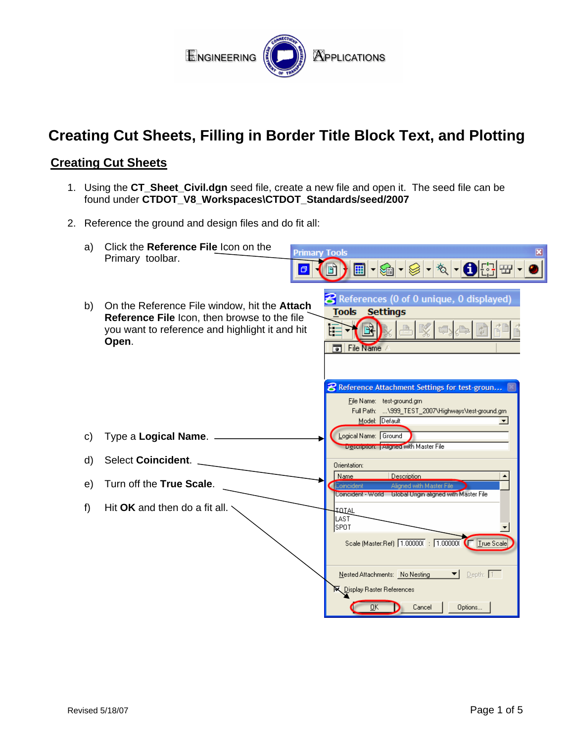

# **Creating Cut Sheets, Filling in Border Title Block Text, and Plotting**

### **Creating Cut Sheets**

- 1. Using the **CT\_Sheet\_Civil.dgn** seed file, create a new file and open it. The seed file can be found under **CTDOT\_V8\_Workspaces\CTDOT\_Standards/seed/2007**
- 2. Reference the ground and design files and do fit all:

| a) | Click the Reference File Icon on the<br><b>Primary Tools</b><br>Primary toolbar.<br>σ                                                                   | $\mathbf{x}$<br>▸▩▸◉▸మ▸❶⊞▦▸<br>前                                                                                                                                                     |
|----|---------------------------------------------------------------------------------------------------------------------------------------------------------|--------------------------------------------------------------------------------------------------------------------------------------------------------------------------------------|
| b) | On the Reference File window, hit the Attach<br>Reference File Icon, then browse to the file<br>you want to reference and highlight it and hit<br>Open. | <b>8</b> References (0 of 0 unique, 0 displayed)<br><b>Tools Settings</b><br>鷗<br>E.<br>╗<br>File Name                                                                               |
|    |                                                                                                                                                         | <b>8</b> Reference Attachment Settings for test-groun<br>File Name: test-ground.grn<br>Full Path:  \999_TEST_2007\Highways\test-ground.grn<br>Model: Default<br>$\blacktriangledown$ |
| C) | Type a Logical Name.                                                                                                                                    | Logical Name: Ground<br>Description: Aligned with Master File                                                                                                                        |
| d) | <b>Select Coincident.</b>                                                                                                                               | Orientation:                                                                                                                                                                         |
| e) | Turn off the True Scale.                                                                                                                                | Name<br><b>Description</b><br>ìoincident<br>Alianed with Master File<br>Coincident - World Lilobal Urigin aligned with Master File                                                   |
| f) | Hit OK and then do a fit all.                                                                                                                           | <b>TOTAL</b><br>LAST<br> SPOT<br>Scale (Master:Ref) 1.000000 : 1.000000 T True Scale                                                                                                 |
|    |                                                                                                                                                         | Depth: 1<br>Nested Attachments: No Nesting<br>▼∣<br><b>N</b> Display Raster References<br>Cancel<br>Options<br><b>DK</b>                                                             |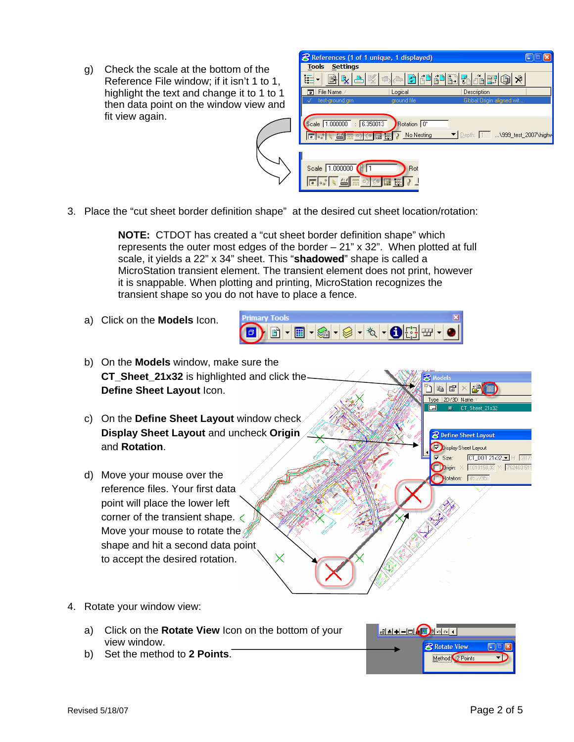g) Check the scale at the bottom of the Reference File window; if it isn't 1 to 1, highlight the text and change it to 1 to 1 then data point on the window view and fit view again.



3. Place the "cut sheet border definition shape" at the desired cut sheet location/rotation:

**NOTE:** CTDOT has created a "cut sheet border definition shape" which represents the outer most edges of the border – 21" x 32". When plotted at full scale, it yields a 22" x 34" sheet. This "**shadowed**" shape is called a MicroStation transient element. The transient element does not print, however it is snappable. When plotting and printing, MicroStation recognizes the transient shape so you do not have to place a fence.

a) Click on the **Models** Icon.



- b) On the **Models** window, make sure the **CT** Sheet 21x32 is highlighted and click the-**Define Sheet Layout** Icon. 2D/3D Name c) On the **Define Sheet Layout** window check **Display Sheet Layout** and uncheck **Origin**  $\mathcal B$  Define Sheet Lavout and **Rotation**. Display Sheet Layout  $\overline{\mathbf{V}}$  Size:  $CT\_DOT21x32$ Drigin: X: 1019158.33 Y: 76 d) Move your mouse over the Rotation: 45.27 reference files. Your first data point will place the lower left corner of the transient shape. Move your mouse to rotate the shape and hit a second data point to accept the desired rotation.
- 4. Rotate your window view:
	- a) Click on the **Rotate View** Icon on the bottom of your view window.
	- b) Set the method to **2 Points**.

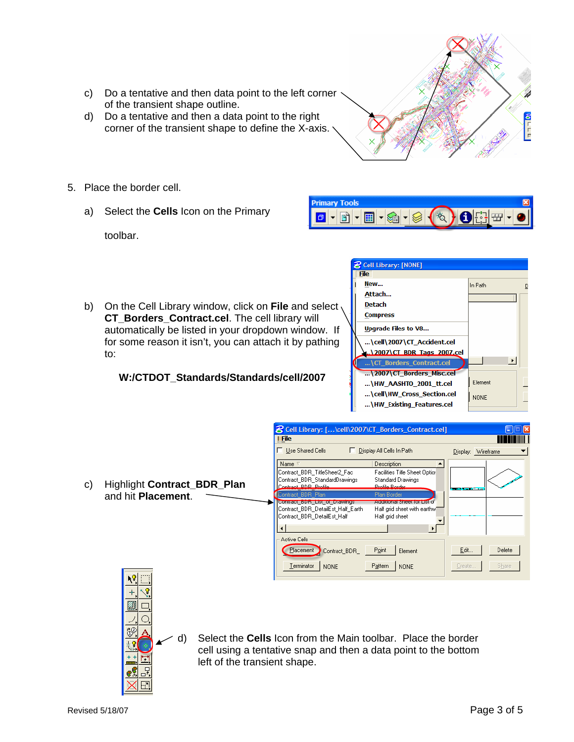- c) Do a tentative and then data point to the left corner of the transient shape outline.
- d) Do a tentative and then a data point to the right corner of the transient shape to define the X-axis.
- 5. Place the border cell.
	- a) Select the **Cells** Icon on the Primary



b) On the Cell Library window, click on **File** and select **CT\_Borders\_Contract.cel**. The cell library will automatically be listed in your dropdown window. If for some reason it isn't, you can attach it by pathing to:

#### **W:/CTDOT\_Standards/Standards/cell/2007**





| <b>B</b> Cell Library: [NONE] |                            |                       |  |
|-------------------------------|----------------------------|-----------------------|--|
| <b>File</b>                   |                            |                       |  |
| New                           |                            | In Path               |  |
|                               | Attach                     |                       |  |
|                               | <b>Detach</b>              |                       |  |
|                               | <b>Compress</b>            |                       |  |
|                               | Upgrade Files to V8        |                       |  |
|                               | \cell\2007\CT Accident.cel |                       |  |
|                               | \2007\CT_BDR_Tags_2007.cel |                       |  |
|                               | \CT Borders Contract.cel   | $\blacktriangleright$ |  |
|                               | \2007\CT Borders Misc.cel  |                       |  |
|                               | \HW AASHTO 2001 tt.cel     | Element               |  |
|                               | \cell\HW_Cross_Section.cel | <b>NONE</b>           |  |
|                               | \HW_Existing_Features.cel  |                       |  |
|                               |                            |                       |  |





d) Select the **Cells** Icon from the Main toolbar. Place the border cell using a tentative snap and then a data point to the bottom left of the transient shape.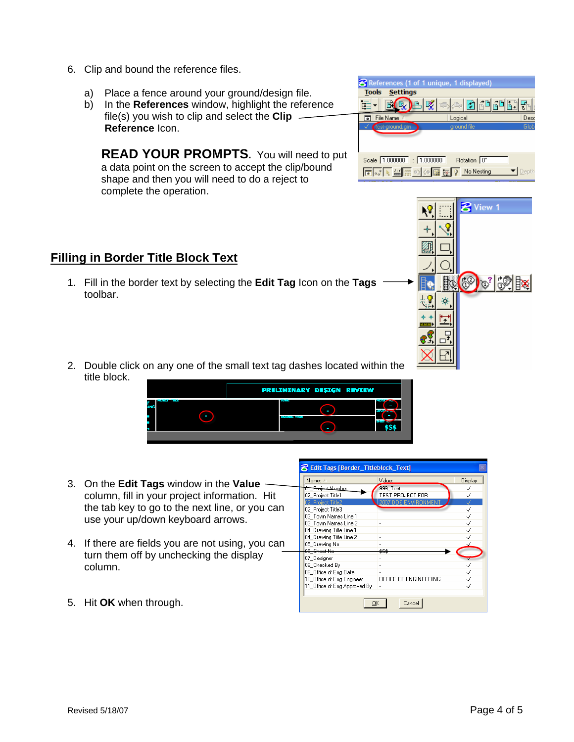- 6. Clip and bound the reference files.
	- a) Place a fence around your ground/design file.
	- b) In the **References** window, highlight the reference file(s) you wish to clip and select the **Clip Reference** Icon.

**READ YOUR PROMPTS.** You will need to put a data point on the screen to accept the clip/bound shape and then you will need to do a reject to complete the operation.

|                                 | References (1 of 1 unique, 1 displayed)                                                                             |      |
|---------------------------------|---------------------------------------------------------------------------------------------------------------------|------|
| <b>Settings</b><br><b>Tools</b> |                                                                                                                     |      |
| ŀ.                              | $\mathbb{E}\left[\mathcal{C}\right]$ $\mathbb{E}\left[\mathcal{C}\right]$ $\mathbb{E}\left[\mathcal{C}\right]$<br>œ |      |
| File Name                       | Logical                                                                                                             | Desc |
| test-ground.grn                 | ground file                                                                                                         | Glob |
|                                 |                                                                                                                     |      |
| Scale 1.000000                  | Rotation 0°<br>: 11.000000                                                                                          |      |
|                                 | No Nesting                                                                                                          |      |



# **Filling in Border Title Block Text**

- 1. Fill in the border text by selecting the **Edit Tag** Icon on the **Tags** toolbar.
- 2. Double click on any one of the small text tag dashes located within the title block.



- 3. On the **Edit Tags** window in the **Value** column, fill in your project information. Hit the tab key to go to the next line, or you can use your up/down keyboard arrows.
- 4. If there are fields you are not using, you can turn them off by unchecking the display column.

| Name: /                       | Value:                | Display |  |  |
|-------------------------------|-----------------------|---------|--|--|
| <del>01 Project Numbe</del> r | 999 Test              |         |  |  |
| 02_Project Title1             | TEST PROJECT FOR      |         |  |  |
| 02_Project Title2             | 2007 DDE ENVIRONMENT  |         |  |  |
| 02 Project Title3             |                       |         |  |  |
| 03 Town Names Line 1          |                       |         |  |  |
| 03 Town Names Line 2          |                       |         |  |  |
| 04 Drawing Title Line 1       |                       |         |  |  |
| 04 Drawing Title Line 2       | ٠                     |         |  |  |
| 05 Drawing No                 |                       |         |  |  |
| 06 Sheet No                   | \$9\$                 |         |  |  |
| 07 Designer                   |                       |         |  |  |
| 08 Checked By                 |                       |         |  |  |
| 09 Office of Eng Date         |                       |         |  |  |
| 10 Office of Eng Engineer     | OFFICE OF ENGINEERING |         |  |  |
| 11 Office of Eng Approved By  | ×                     |         |  |  |
|                               |                       |         |  |  |
| Cancel<br>OΚ                  |                       |         |  |  |

**2** Edit Tags [Border Titleblock Text]

5. Hit **OK** when through.